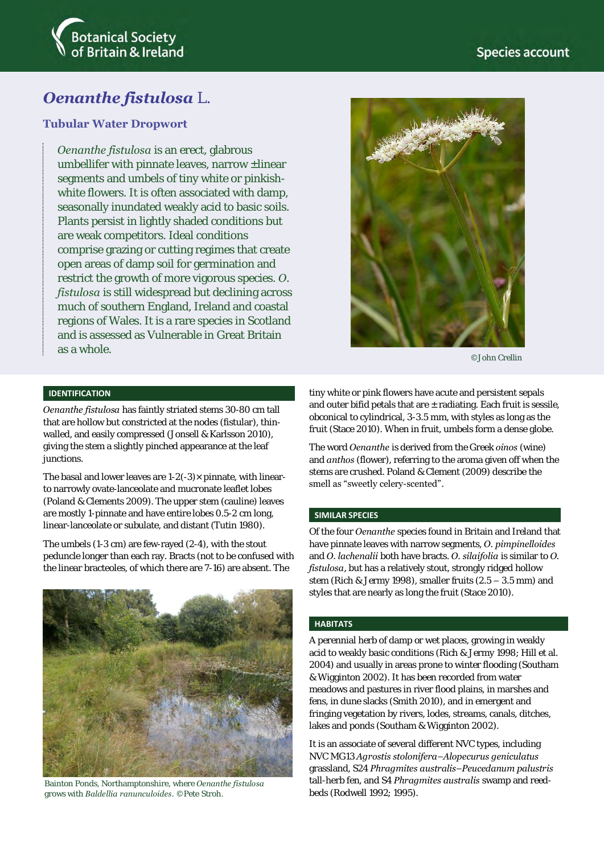

# *Oenanthe fistulosa* L.

### **Tubular Water Dropwort**

*Oenanthe fistulosa* is an erect, glabrous umbellifer with pinnate leaves, narrow  $\pm$ linear segments and umbels of tiny white or pinkishwhite flowers. It is often associated with damp, seasonally inundated weakly acid to basic soils. Plants persist in lightly shaded conditions but are weak competitors. Ideal conditions comprise grazing or cutting regimes that create open areas of damp soil for germination and restrict the growth of more vigorous species. *O. fistulosa* is still widespread but declining across much of southern England, Ireland and coastal regions of Wales. It is a rare species in Scotland and is assessed as Vulnerable in Great Britain as a whole.



©John Crellin

### **IDENTIFICATION**

*Oenanthe fistulosa* has faintly striated stems 30-80 cm tall that are hollow but constricted at the nodes (fistular), thinwalled, and easily compressed (Jonsell & Karlsson 2010), giving the stem a slightly pinched appearance at the leaf junctions.

The basal and lower leaves are  $1-2(-3) \times$  pinnate, with linearto narrowly ovate-lanceolate and mucronate leaflet lobes (Poland & Clements 2009). The upper stem (cauline) leaves are mostly 1-pinnate and have entire lobes 0.5-2 cm long, linear-lanceolate or subulate, and distant (Tutin 1980).

The umbels (1-3 cm) are few-rayed (2-4), with the stout peduncle longer than each ray. Bracts (not to be confused with the linear bracteoles, of which there are 7-16) are absent. The



Bainton Ponds, Northamptonshire, where *Oenanthe fistulosa* grows with *Baldellia ranunculoides*. ©Pete Stroh.

tiny white or pink flowers have acute and persistent sepals and outer bifid petals that are  $\pm$  radiating. Each fruit is sessile, obconical to cylindrical, 3-3.5 mm, with styles as long as the fruit (Stace 2010). When in fruit, umbels form a dense globe.

The word *Oenanthe* is derived from the Greek *oinos* (wine) and *anthos* (flower), referring to the aroma given off when the stems are crushed. Poland & Clement (2009) describe the smell as "sweetly celery-scented".

#### **SIMILAR SPECIES**

Of the four *Oenanthe* species found in Britain and Ireland that have pinnate leaves with narrow segments, *O. pimpinelloides* and *O. lachenalii* both have bracts. *O. silaifolia* is similar to *O. fistulosa*, but has a relatively stout, strongly ridged hollow stem (Rich & Jermy 1998), smaller fruits (2.5 – 3.5 mm) and styles that are nearly as long the fruit (Stace 2010).

#### **HABITATS**

A perennial herb of damp or wet places, growing in weakly acid to weakly basic conditions (Rich & Jermy 1998; Hill et al. 2004) and usually in areas prone to winter flooding (Southam & Wigginton 2002). It has been recorded from water meadows and pastures in river flood plains, in marshes and fens, in dune slacks (Smith 2010), and in emergent and fringing vegetation by rivers, lodes, streams, canals, ditches, lakes and ponds (Southam & Wigginton 2002).

It is an associate of several different NVC types, including NVC MG13 *Agrostis stolonifera–Alopecurus geniculatus*  grassland, S24 *Phragmites australis–Peucedanum palustris*  tall-herb fen, and S4 *Phragmites australis* swamp and reedbeds (Rodwell 1992; 1995).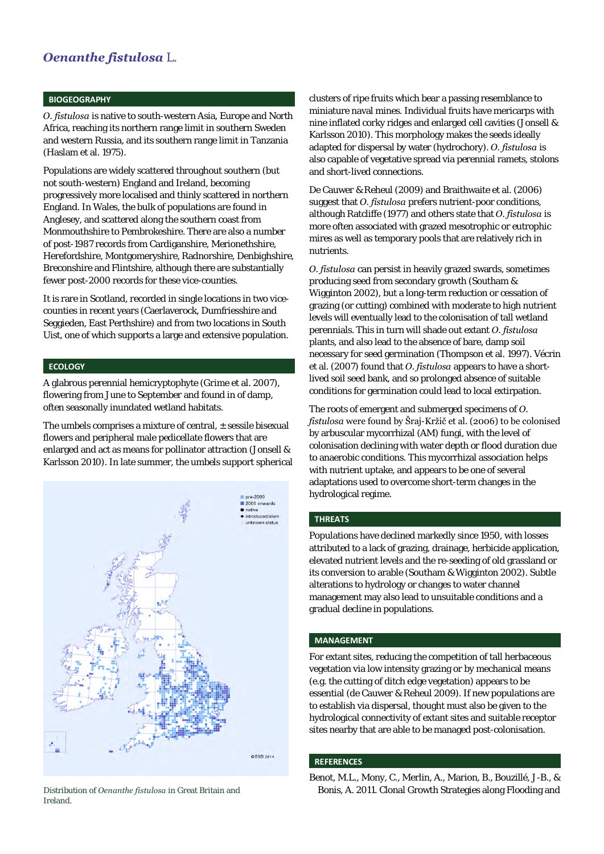## *Oenanthe fistulosa* L.

#### **BIOGEOGRAPHY**

*O. fistulosa* is native to south-western Asia, Europe and North Africa, reaching its northern range limit in southern Sweden and western Russia, and its southern range limit in Tanzania (Haslam et al. 1975).

Populations are widely scattered throughout southern (but not south-western) England and Ireland, becoming progressively more localised and thinly scattered in northern England. In Wales, the bulk of populations are found in Anglesey, and scattered along the southern coast from Monmouthshire to Pembrokeshire. There are also a number of post-1987 records from Cardiganshire, Merionethshire, Herefordshire, Montgomeryshire, Radnorshire, Denbighshire, Breconshire and Flintshire, although there are substantially fewer post-2000 records for these vice-counties.

It is rare in Scotland, recorded in single locations in two vicecounties in recent years (Caerlaverock, Dumfriesshire and Seggieden, East Perthshire) and from two locations in South Uist, one of which supports a large and extensive population.

#### **ECOLOGY**

A glabrous perennial hemicryptophyte (Grime et al. 2007), flowering from June to September and found in of damp, often seasonally inundated wetland habitats.

The umbels comprises a mixture of central,  $\pm$  sessile bisexual flowers and peripheral male pedicellate flowers that are enlarged and act as means for pollinator attraction (Jonsell & Karlsson 2010). In late summer, the umbels support spherical



Ireland.

clusters of ripe fruits which bear a passing resemblance to miniature naval mines. Individual fruits have mericarps with nine inflated corky ridges and enlarged cell cavities (Jonsell & Karlsson 2010). This morphology makes the seeds ideally adapted for dispersal by water (hydrochory). *O. fistulosa* is also capable of vegetative spread via perennial ramets, stolons and short-lived connections.

De Cauwer & Reheul (2009) and Braithwaite et al. (2006) suggest that *O. fistulosa* prefers nutrient-poor conditions, although Ratcliffe (1977) and others state that *O. fistulosa* is more often associated with grazed mesotrophic or eutrophic mires as well as temporary pools that are relatively rich in nutrients.

*O. fistulosa* can persist in heavily grazed swards, sometimes producing seed from secondary growth (Southam & Wigginton 2002), but a long-term reduction or cessation of grazing (or cutting) combined with moderate to high nutrient levels will eventually lead to the colonisation of tall wetland perennials. This in turn will shade out extant *O. fistulosa* plants, and also lead to the absence of bare, damp soil necessary for seed germination (Thompson et al. 1997). Vécrin et al. (2007) found that *O. fistulosa* appears to have a shortlived soil seed bank, and so prolonged absence of suitable conditions for germination could lead to local extirpation.

The roots of emergent and submerged specimens of *O. fistulosa* were found by Šraj-Kržič et al. (2006) to be colonised by arbuscular mycorrhizal (AM) fungi, with the level of colonisation declining with water depth or flood duration due to anaerobic conditions. This mycorrhizal association helps with nutrient uptake, and appears to be one of several adaptations used to overcome short-term changes in the hydrological regime.

#### **THREATS**

Populations have declined markedly since 1950, with losses attributed to a lack of grazing, drainage, herbicide application, elevated nutrient levels and the re-seeding of old grassland or its conversion to arable (Southam & Wigginton 2002). Subtle alterations to hydrology or changes to water channel management may also lead to unsuitable conditions and a gradual decline in populations.

#### **MANAGEMENT**

For extant sites, reducing the competition of tall herbaceous vegetation via low intensity grazing or by mechanical means (e.g. the cutting of ditch edge vegetation) appears to be essential (de Cauwer & Reheul 2009). If new populations are to establish via dispersal, thought must also be given to the hydrological connectivity of extant sites and suitable receptor sites nearby that are able to be managed post-colonisation.

#### **REFERENCES**

Benot, M.L., Mony, C., Merlin, A., Marion, B., Bouzillé, J-B., & Distribution of *Oenanthe fistulosa* in Great Britain and Bonis, A. 2011. Clonal Growth Strategies along Flooding and